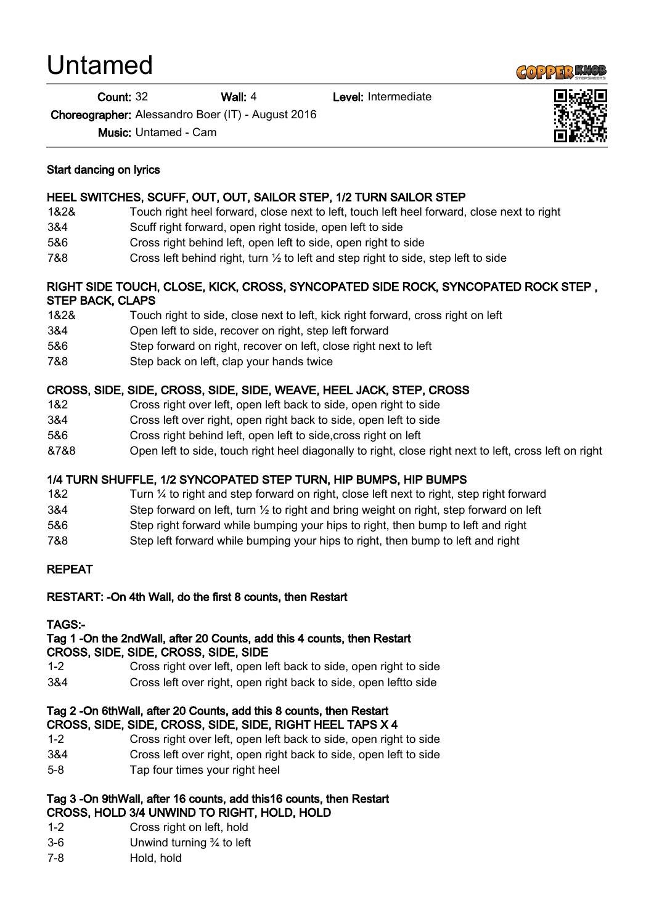# Untamed

Count: 32 Wall: 4 Level: Intermediate

Choreographer: Alessandro Boer (IT) - August 2016

Music: Untamed - Cam

#### Start dancing on lyrics

# HEEL SWITCHES, SCUFF, OUT, OUT, SAILOR STEP, 1/2 TURN SAILOR STEP

- 1&2& Touch right heel forward, close next to left, touch left heel forward, close next to right
- 3&4 Scuff right forward, open right toside, open left to side
- 5&6 Cross right behind left, open left to side, open right to side
- 7&8 Cross left behind right, turn ½ to left and step right to side, step left to side

## RIGHT SIDE TOUCH, CLOSE, KICK, CROSS, SYNCOPATED SIDE ROCK, SYNCOPATED ROCK STEP , STEP BACK, CLAPS

- 1&2& Touch right to side, close next to left, kick right forward, cross right on left
- 3&4 Open left to side, recover on right, step left forward
- 5&6 Step forward on right, recover on left, close right next to left
- 7&8 Step back on left, clap your hands twice

## CROSS, SIDE, SIDE, CROSS, SIDE, SIDE, WEAVE, HEEL JACK, STEP, CROSS

- 1&2 Cross right over left, open left back to side, open right to side
- 3&4 Cross left over right, open right back to side, open left to side
- 5&6 Cross right behind left, open left to side,cross right on left
- &7&8 Open left to side, touch right heel diagonally to right, close right next to left, cross left on right

## 1/4 TURN SHUFFLE, 1/2 SYNCOPATED STEP TURN, HIP BUMPS, HIP BUMPS

- 1&2 Turn ¼ to right and step forward on right, close left next to right, step right forward
- 3&4 Step forward on left, turn  $\frac{1}{2}$  to right and bring weight on right, step forward on left
- 5&6 Step right forward while bumping your hips to right, then bump to left and right
- 7&8 Step left forward while bumping your hips to right, then bump to left and right

## REPEAT

## RESTART: -On 4th Wall, do the first 8 counts, then Restart

#### TAGS:-

#### Tag 1 -On the 2ndWall, after 20 Counts, add this 4 counts, then Restart CROSS, SIDE, SIDE, CROSS, SIDE, SIDE

- 1-2 Cross right over left, open left back to side, open right to side
- 3&4 Cross left over right, open right back to side, open leftto side

#### Tag 2 -On 6thWall, after 20 Counts, add this 8 counts, then Restart CROSS, SIDE, SIDE, CROSS, SIDE, SIDE, RIGHT HEEL TAPS X 4

- 1-2 Cross right over left, open left back to side, open right to side
- 3&4 Cross left over right, open right back to side, open left to side
- 5-8 Tap four times your right heel

#### Tag 3 -On 9thWall, after 16 counts, add this16 counts, then Restart CROSS, HOLD 3/4 UNWIND TO RIGHT, HOLD, HOLD

- 1-2 Cross right on left, hold
- 3-6 Unwind turning ¾ to left
- 7-8 Hold, hold